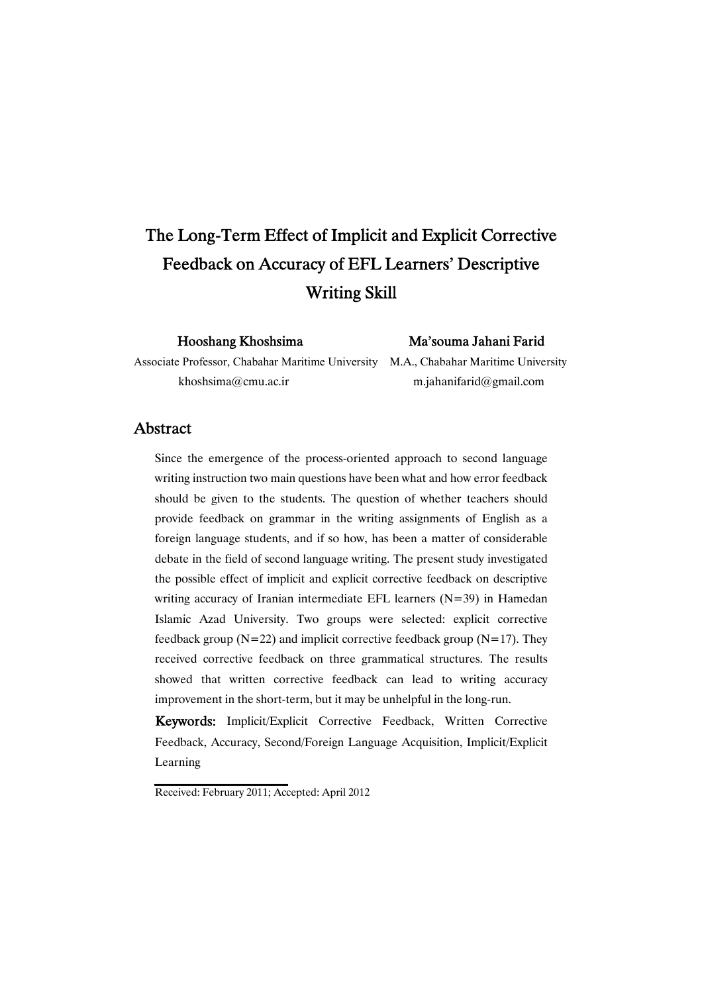# The Long-Term Effect of Implicit and Explicit Corrective Feedback on Accuracy of EFL Learners' Descriptive **Writing Skill**

Hooshang Khoshsima Ma'souma Jahani Farid

Associate Professor, Chabahar Maritime University M.A., Chabahar Maritime University khoshsima@cmu.ac.ir m.jahanifarid@gmail.com

### Abstract

Since the emergence of the process-oriented approach to second language writing instruction two main questions have been what and how error feedback should be given to the students. The question of whether teachers should provide feedback on grammar in the writing assignments of English as a foreign language students, and if so how, has been a matter of considerable debate in the field of second language writing. The present study investigated the possible effect of implicit and explicit corrective feedback on descriptive writing accuracy of Iranian intermediate EFL learners (N=39) in Hamedan Islamic Azad University. Two groups were selected: explicit corrective feedback group ( $N=22$ ) and implicit corrective feedback group ( $N=17$ ). They received corrective feedback on three grammatical structures. The results showed that written corrective feedback can lead to writing accuracy improvement in the short-term, but it may be unhelpful in the long-run.

Keywords: Implicit/Explicit Corrective Feedback, Written Corrective Feedback, Accuracy, Second/Foreign Language Acquisition, Implicit/Explicit Learning

Received: February 2011; Accepted: April 2012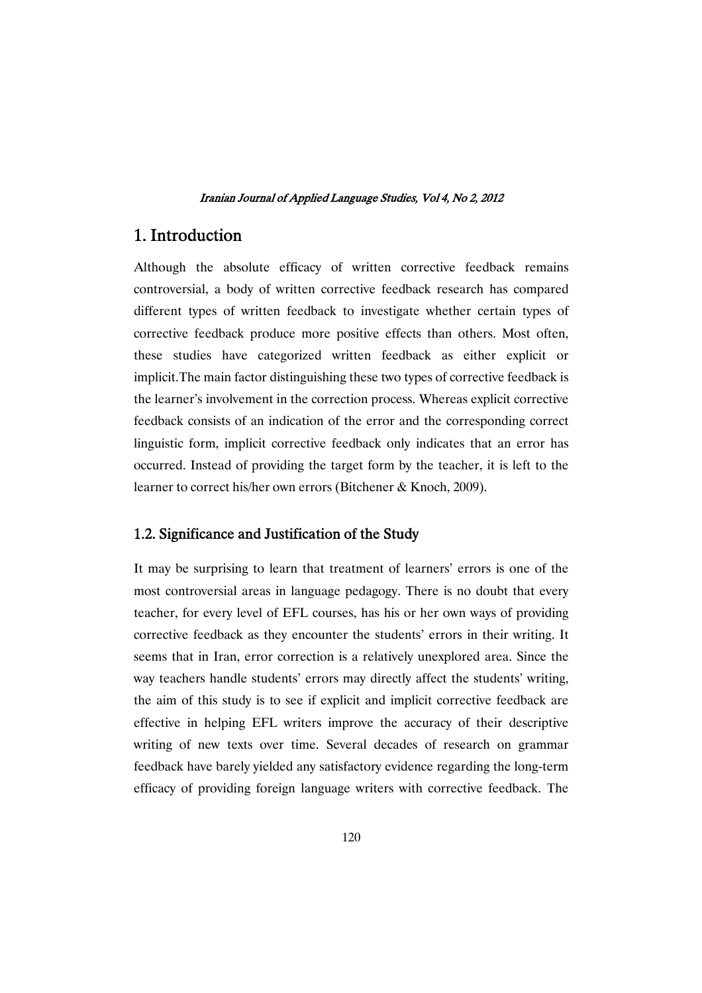# 1. Introduction

Although the absolute efficacy of written corrective feedback remains controversial, a body of written corrective feedback research has compared different types of written feedback to investigate whether certain types of corrective feedback produce more positive effects than others. Most often, these studies have categorized written feedback as either explicit or implicit.The main factor distinguishing these two types of corrective feedback is the learner's involvement in the correction process. Whereas explicit corrective feedback consists of an indication of the error and the corresponding correct linguistic form, implicit corrective feedback only indicates that an error has occurred. Instead of providing the target form by the teacher, it is left to the learner to correct his/her own errors (Bitchener & Knoch, 2009).

### 1.2. Significance and Justification of the Study

It may be surprising to learn that treatment of learners' errors is one of the most controversial areas in language pedagogy. There is no doubt that every teacher, for every level of EFL courses, has his or her own ways of providing corrective feedback as they encounter the students' errors in their writing. It seems that in Iran, error correction is a relatively unexplored area. Since the way teachers handle students' errors may directly affect the students' writing, the aim of this study is to see if explicit and implicit corrective feedback are effective in helping EFL writers improve the accuracy of their descriptive writing of new texts over time. Several decades of research on grammar feedback have barely yielded any satisfactory evidence regarding the long-term efficacy of providing foreign language writers with corrective feedback. The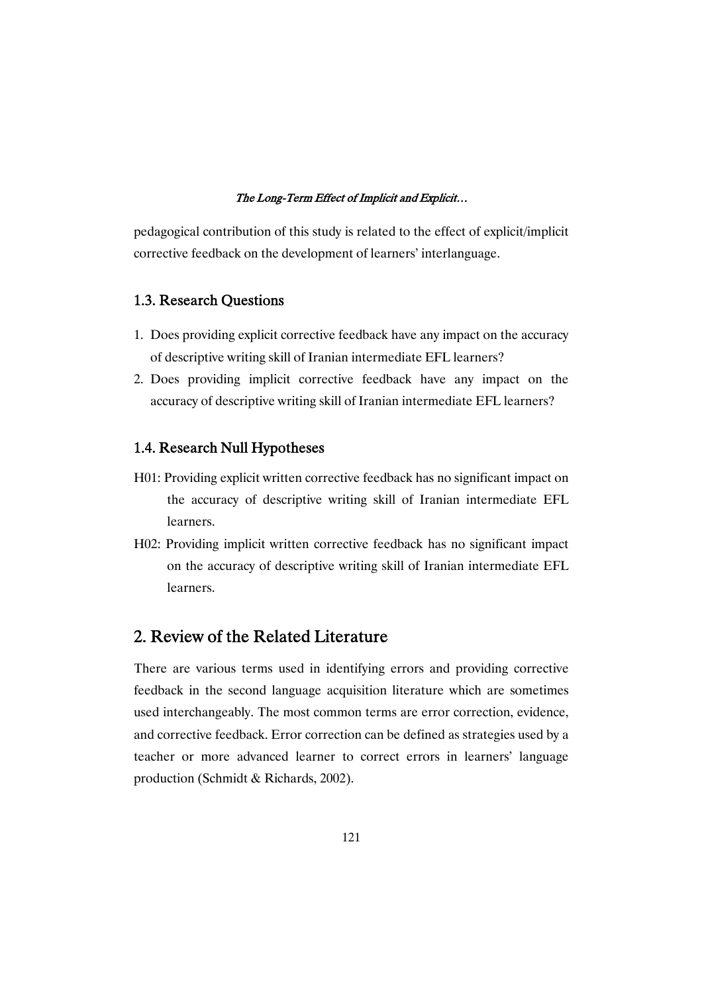pedagogical contribution of this study is related to the effect of explicit/implicit corrective feedback on the development of learners' interlanguage.

# 1.3. Research Questions

- 1. Does providing explicit corrective feedback have any impact on the accuracy of descriptive writing skill of Iranian intermediate EFL learners?
- 2. Does providing implicit corrective feedback have any impact on the accuracy of descriptive writing skill of Iranian intermediate EFL learners?

## 1.4. Research Null Hypotheses

- H01: Providing explicit written corrective feedback has no significant impact on the accuracy of descriptive writing skill of Iranian intermediate EFL learners.
- H02: Providing implicit written corrective feedback has no significant impact on the accuracy of descriptive writing skill of Iranian intermediate EFL learners.

# 2. Review of the Related Literature

There are various terms used in identifying errors and providing corrective feedback in the second language acquisition literature which are sometimes used interchangeably. The most common terms are error correction, evidence, and corrective feedback. Error correction can be defined as strategies used by a teacher or more advanced learner to correct errors in learners' language production (Schmidt & Richards, 2002).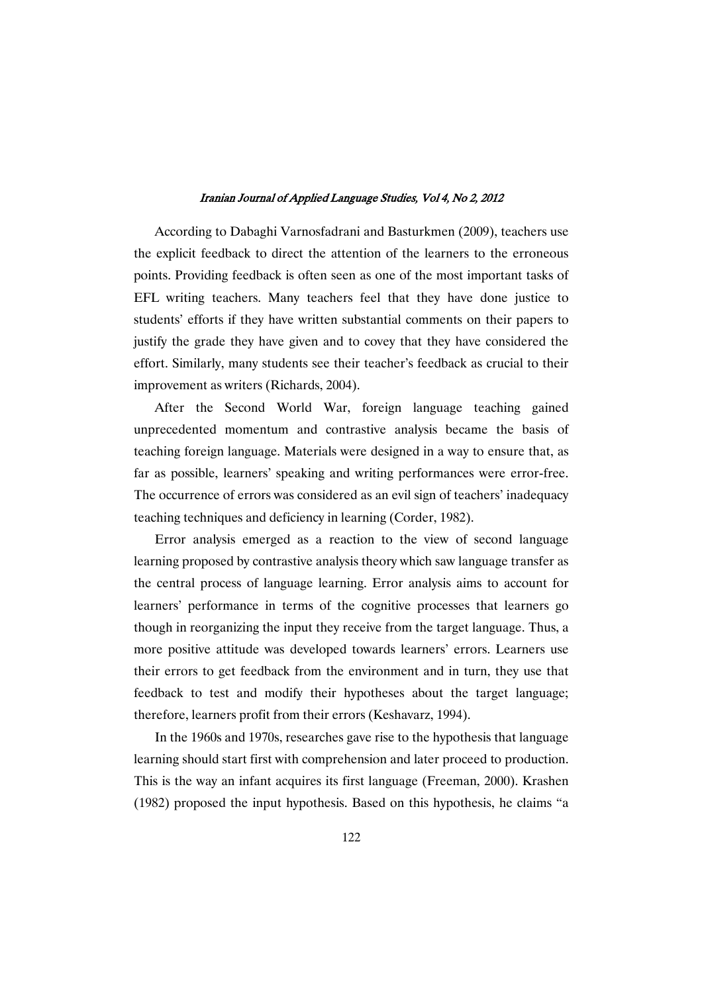According to Dabaghi Varnosfadrani and Basturkmen (2009), teachers use the explicit feedback to direct the attention of the learners to the erroneous points. Providing feedback is often seen as one of the most important tasks of EFL writing teachers. Many teachers feel that they have done justice to students' efforts if they have written substantial comments on their papers to justify the grade they have given and to covey that they have considered the effort. Similarly, many students see their teacher's feedback as crucial to their improvement as writers (Richards, 2004).

After the Second World War, foreign language teaching gained unprecedented momentum and contrastive analysis became the basis of teaching foreign language. Materials were designed in a way to ensure that, as far as possible, learners' speaking and writing performances were error-free. The occurrence of errors was considered as an evil sign of teachers' inadequacy teaching techniques and deficiency in learning (Corder, 1982).

Error analysis emerged as a reaction to the view of second language learning proposed by contrastive analysis theory which saw language transfer as the central process of language learning. Error analysis aims to account for learners' performance in terms of the cognitive processes that learners go though in reorganizing the input they receive from the target language. Thus, a more positive attitude was developed towards learners' errors. Learners use their errors to get feedback from the environment and in turn, they use that feedback to test and modify their hypotheses about the target language; therefore, learners profit from their errors (Keshavarz, 1994).

In the 1960s and 1970s, researches gave rise to the hypothesis that language learning should start first with comprehension and later proceed to production. This is the way an infant acquires its first language (Freeman, 2000). Krashen (1982) proposed the input hypothesis. Based on this hypothesis, he claims "a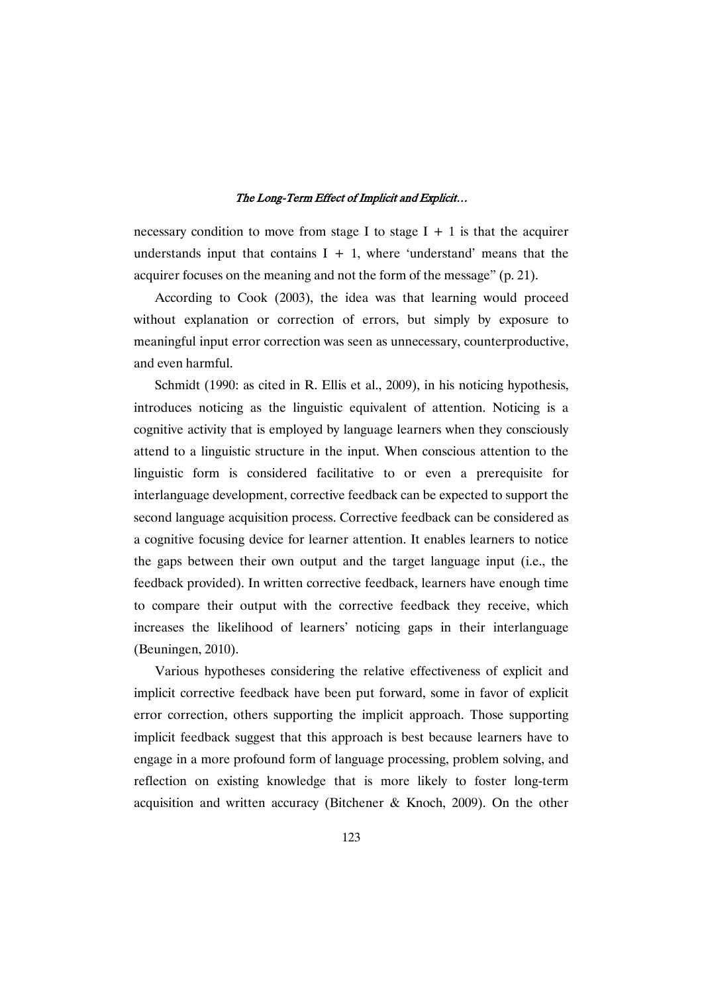necessary condition to move from stage I to stage  $I + 1$  is that the acquirer understands input that contains  $I + 1$ , where 'understand' means that the acquirer focuses on the meaning and not the form of the message" (p. 21).

According to Cook (2003), the idea was that learning would proceed without explanation or correction of errors, but simply by exposure to meaningful input error correction was seen as unnecessary, counterproductive, and even harmful.

Schmidt (1990: as cited in R. Ellis et al., 2009), in his noticing hypothesis, introduces noticing as the linguistic equivalent of attention. Noticing is a cognitive activity that is employed by language learners when they consciously attend to a linguistic structure in the input. When conscious attention to the linguistic form is considered facilitative to or even a prerequisite for interlanguage development, corrective feedback can be expected to support the second language acquisition process. Corrective feedback can be considered as a cognitive focusing device for learner attention. It enables learners to notice the gaps between their own output and the target language input (i.e., the feedback provided). In written corrective feedback, learners have enough time to compare their output with the corrective feedback they receive, which increases the likelihood of learners' noticing gaps in their interlanguage (Beuningen, 2010).

Various hypotheses considering the relative effectiveness of explicit and implicit corrective feedback have been put forward, some in favor of explicit error correction, others supporting the implicit approach. Those supporting implicit feedback suggest that this approach is best because learners have to engage in a more profound form of language processing, problem solving, and reflection on existing knowledge that is more likely to foster long-term acquisition and written accuracy (Bitchener & Knoch, 2009). On the other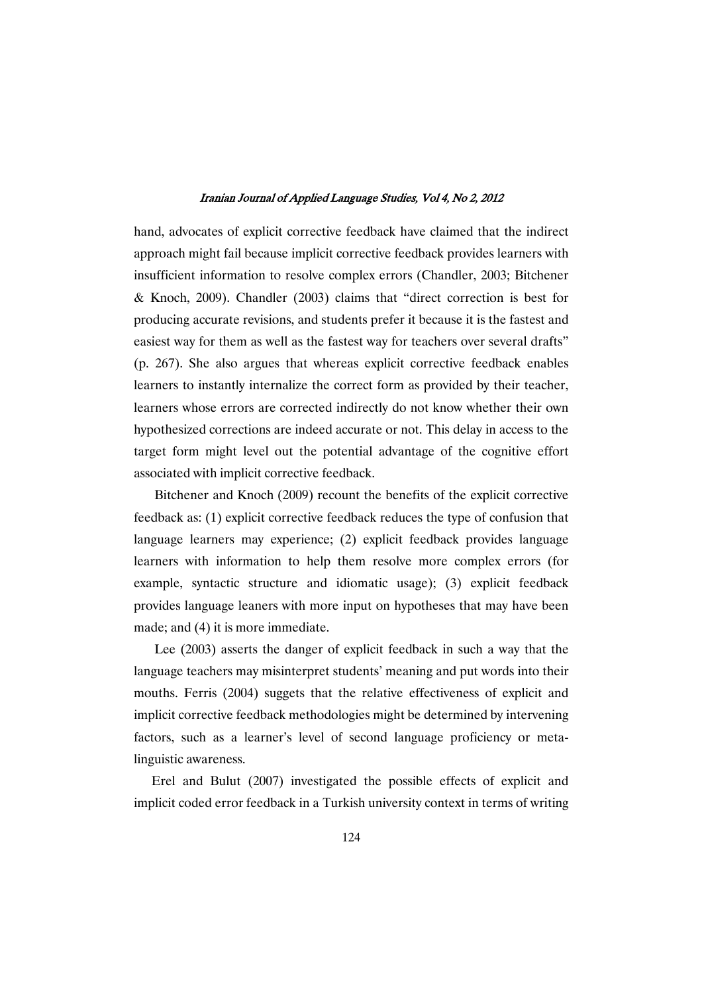hand, advocates of explicit corrective feedback have claimed that the indirect approach might fail because implicit corrective feedback provides learners with insufficient information to resolve complex errors (Chandler, 2003; Bitchener & Knoch, 2009). Chandler (2003) claims that "direct correction is best for producing accurate revisions, and students prefer it because it is the fastest and easiest way for them as well as the fastest way for teachers over several drafts" (p. 267). She also argues that whereas explicit corrective feedback enables learners to instantly internalize the correct form as provided by their teacher, learners whose errors are corrected indirectly do not know whether their own hypothesized corrections are indeed accurate or not. This delay in access to the target form might level out the potential advantage of the cognitive effort associated with implicit corrective feedback.

Bitchener and Knoch (2009) recount the benefits of the explicit corrective feedback as: (1) explicit corrective feedback reduces the type of confusion that language learners may experience; (2) explicit feedback provides language learners with information to help them resolve more complex errors (for example, syntactic structure and idiomatic usage); (3) explicit feedback provides language leaners with more input on hypotheses that may have been made; and (4) it is more immediate.

Lee (2003) asserts the danger of explicit feedback in such a way that the language teachers may misinterpret students' meaning and put words into their mouths. Ferris (2004) suggets that the relative effectiveness of explicit and implicit corrective feedback methodologies might be determined by intervening factors, such as a learner's level of second language proficiency or metalinguistic awareness.

Erel and Bulut (2007) investigated the possible effects of explicit and implicit coded error feedback in a Turkish university context in terms of writing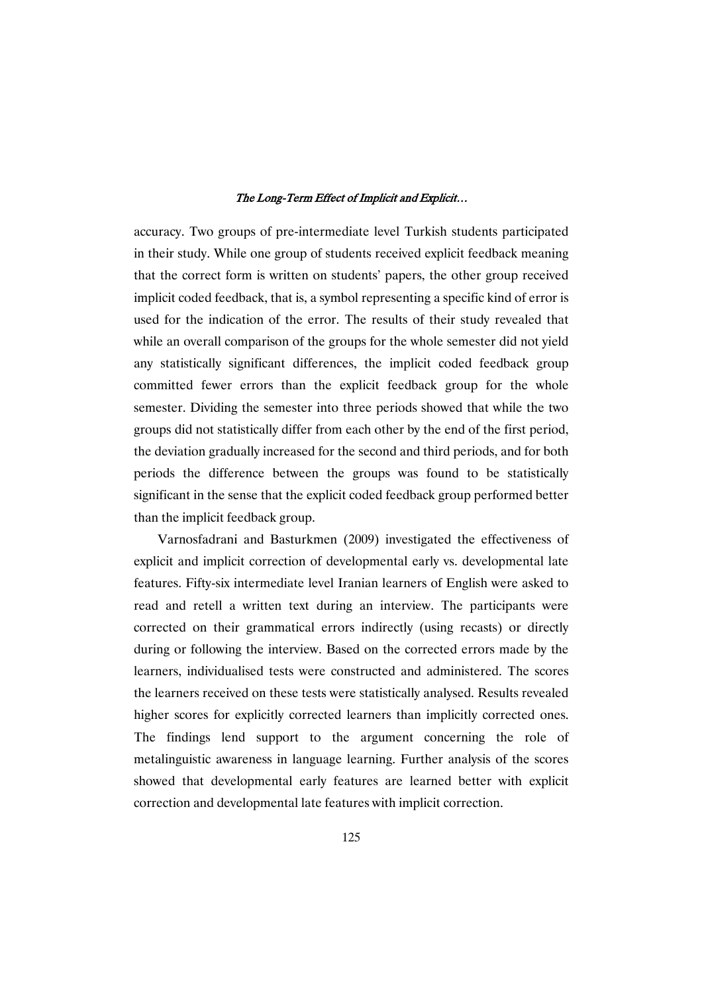accuracy. Two groups of pre-intermediate level Turkish students participated in their study. While one group of students received explicit feedback meaning that the correct form is written on students' papers, the other group received implicit coded feedback, that is, a symbol representing a specific kind of error is used for the indication of the error. The results of their study revealed that while an overall comparison of the groups for the whole semester did not yield any statistically significant differences, the implicit coded feedback group committed fewer errors than the explicit feedback group for the whole semester. Dividing the semester into three periods showed that while the two groups did not statistically differ from each other by the end of the first period, the deviation gradually increased for the second and third periods, and for both periods the difference between the groups was found to be statistically significant in the sense that the explicit coded feedback group performed better than the implicit feedback group.

Varnosfadrani and Basturkmen (2009) investigated the effectiveness of explicit and implicit correction of developmental early vs. developmental late features. Fifty-six intermediate level Iranian learners of English were asked to read and retell a written text during an interview. The participants were corrected on their grammatical errors indirectly (using recasts) or directly during or following the interview. Based on the corrected errors made by the learners, individualised tests were constructed and administered. The scores the learners received on these tests were statistically analysed. Results revealed higher scores for explicitly corrected learners than implicitly corrected ones. The findings lend support to the argument concerning the role of metalinguistic awareness in language learning. Further analysis of the scores showed that developmental early features are learned better with explicit correction and developmental late features with implicit correction.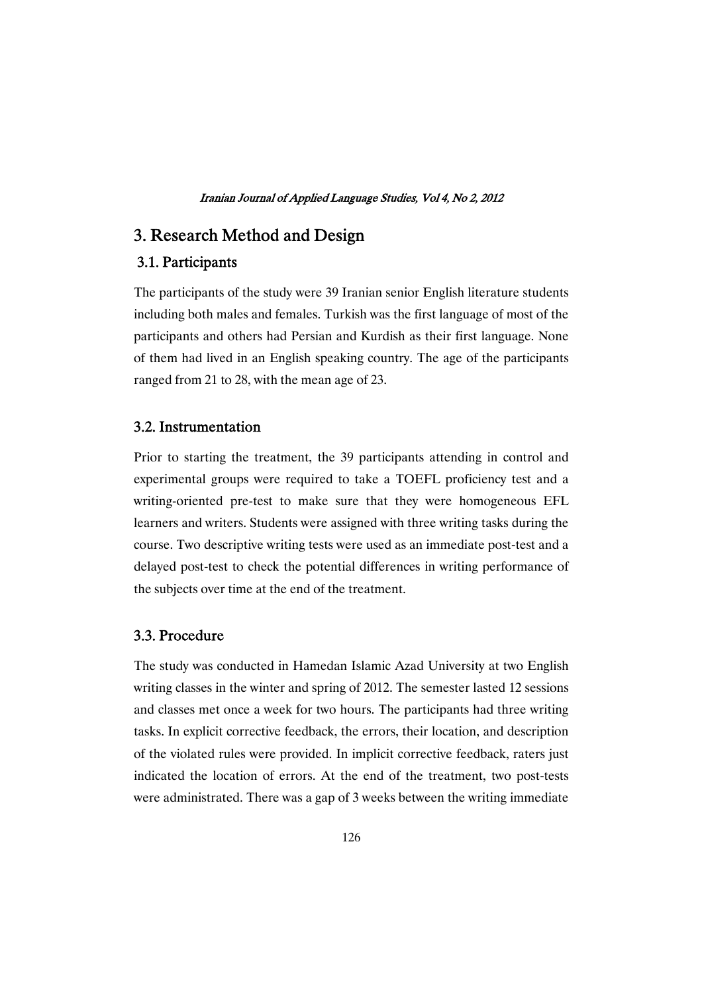# 3. Research Method and Design

# 3.1.Participants

The participants of the study were 39 Iranian senior English literature students including both males and females. Turkish was the first language of most of the participants and others had Persian and Kurdish as their first language. None of them had lived in an English speaking country. The age of the participants ranged from 21 to 28, with the mean age of 23.

### 3.2.Instrumentation

Prior to starting the treatment, the 39 participants attending in control and experimental groups were required to take a TOEFL proficiency test and a writing-oriented pre-test to make sure that they were homogeneous EFL learners and writers. Students were assigned with three writing tasks during the course. Two descriptive writing tests were used as an immediate post-test and a delayed post-test to check the potential differences in writing performance of the subjects over time at the end of the treatment.

### 3.3.Procedure

The study was conducted in Hamedan Islamic Azad University at two English writing classes in the winter and spring of 2012. The semester lasted 12 sessions and classes met once a week for two hours. The participants had three writing tasks. In explicit corrective feedback, the errors, their location, and description of the violated rules were provided. In implicit corrective feedback, raters just indicated the location of errors. At the end of the treatment, two post-tests were administrated. There was a gap of 3 weeks between the writing immediate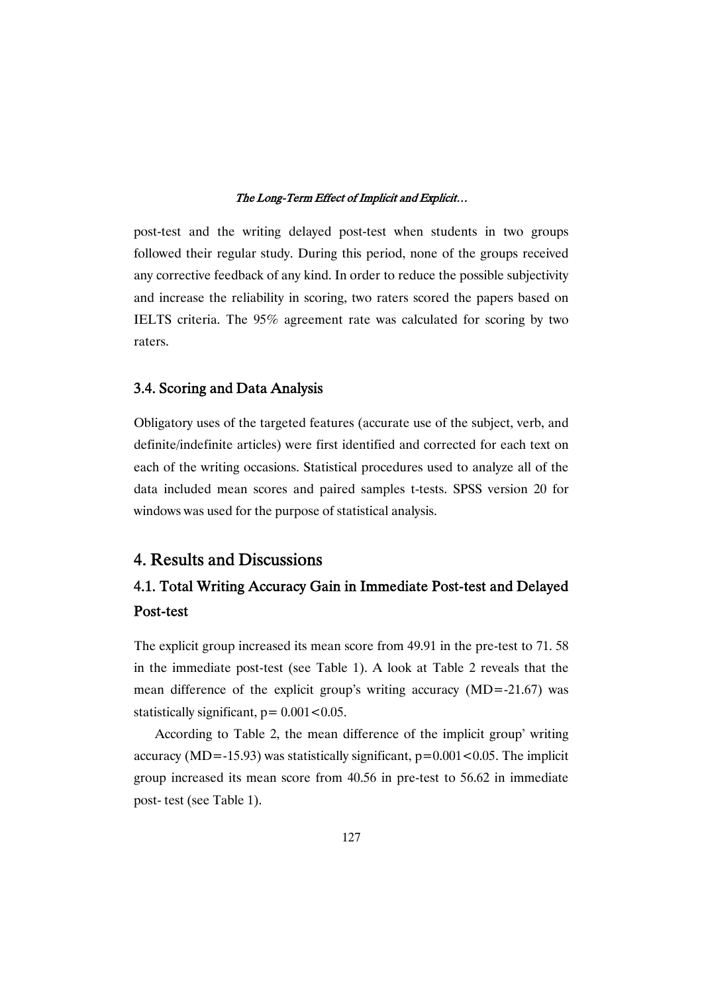post-test and the writing delayed post-test when students in two groups followed their regular study. During this period, none of the groups received any corrective feedback of any kind. In order to reduce the possible subjectivity and increase the reliability in scoring, two raters scored the papers based on IELTS criteria. The 95% agreement rate was calculated for scoring by two raters.

### 3.4. Scoring and Data Analysis

Obligatory uses of the targeted features (accurate use of the subject, verb, and definite/indefinite articles) were first identified and corrected for each text on each of the writing occasions. Statistical procedures used to analyze all of the data included mean scores and paired samples t-tests. SPSS version 20 for windows was used for the purpose of statistical analysis.

# 4. Results and Discussions

# 4.1. Total Writing Accuracy Gain in Immediate Post-test and Delayed Post-test

The explicit group increased its mean score from 49.91 in the pre-test to 71. 58 in the immediate post-test (see Table 1). A look at Table 2 reveals that the mean difference of the explicit group's writing accuracy (MD=-21.67) was statistically significant,  $p = 0.001 < 0.05$ .

According to Table 2, the mean difference of the implicit group' writing accuracy (MD=-15.93) was statistically significant,  $p=0.001<0.05$ . The implicit group increased its mean score from 40.56 in pre-test to 56.62 in immediate post- test (see Table 1).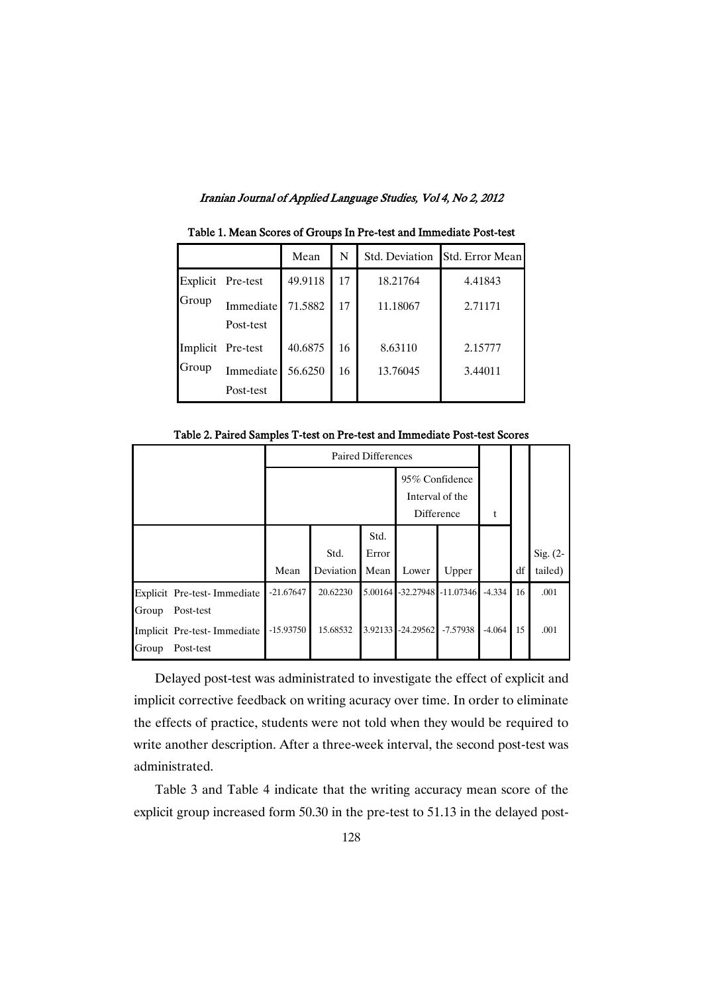|       |                   | Mean    | N  | Std. Deviation | Std. Error Mean |
|-------|-------------------|---------|----|----------------|-----------------|
| Group | Explicit Pre-test | 49.9118 | 17 | 18.21764       | 4.41843         |
|       | <b>Immediate</b>  | 71.5882 | 17 | 11.18067       | 2.71171         |
|       | Post-test         |         |    |                |                 |
| Group | Implicit Pre-test | 40.6875 | 16 | 8.63110        | 2.15777         |
|       | Immediate         | 56.6250 | 16 | 13.76045       | 3.44011         |
|       | Post-test         |         |    |                |                 |

Table 1. Mean Scores of Groups In Pre-test and Immediate Post-test

Table 2. Paired Samples T-test on Pre-test and Immediate Post-test Scores

|                             | Paired Differences |           |         |                 |                     |          |    |            |
|-----------------------------|--------------------|-----------|---------|-----------------|---------------------|----------|----|------------|
|                             |                    |           |         | 95% Confidence  |                     |          |    |            |
|                             |                    |           |         | Interval of the |                     |          |    |            |
|                             |                    |           |         | Difference      |                     | t        |    |            |
|                             |                    |           | Std.    |                 |                     |          |    |            |
|                             |                    | Std.      | Error   |                 |                     |          |    | Sig. $(2-$ |
|                             | Mean               | Deviation | Mean    | Lower           | Upper               |          | df | tailed)    |
| Explicit Pre-test-Immediate | $-21.67647$        | 20.62230  | 5.00164 |                 | -32.27948 -11.07346 | $-4.334$ | 16 | .001       |
| Post-test<br>Group          |                    |           |         |                 |                     |          |    |            |
| Implicit Pre-test-Immediate | $-15.93750$        | 15.68532  | 3.92133 | $-24.29562$     | $-7.57938$          | $-4.064$ | 15 | .001       |
| Group<br>Post-test          |                    |           |         |                 |                     |          |    |            |

Delayed post-test was administrated to investigate the effect of explicit and implicit corrective feedback on writing acuracy over time. In order to eliminate the effects of practice, students were not told when they would be required to write another description. After a three-week interval, the second post-test was administrated.

Table 3 and Table 4 indicate that the writing accuracy mean score of the explicit group increased form 50.30 in the pre-test to 51.13 in the delayed post-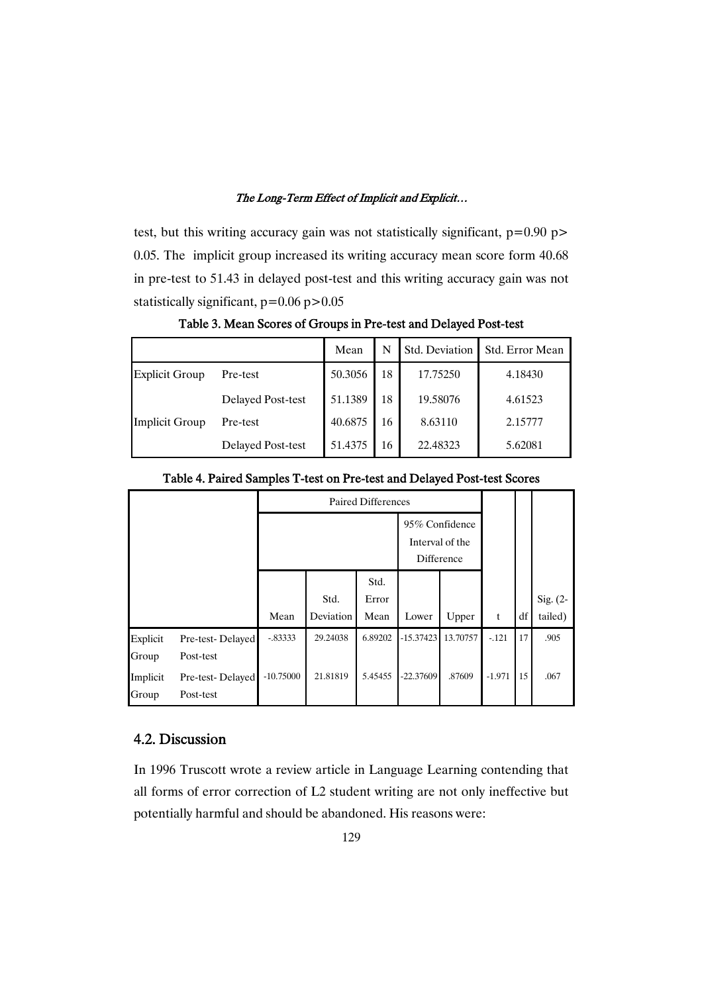test, but this writing accuracy gain was not statistically significant,  $p=0.90$  p> 0.05. The implicit group increased its writing accuracy mean score form 40.68 in pre-test to 51.43 in delayed post-test and this writing accuracy gain was not statistically significant,  $p=0.06$   $p>0.05$ 

|                       |                          | Mean    | N  | Std. Deviation | Std. Error Mean |
|-----------------------|--------------------------|---------|----|----------------|-----------------|
| <b>Explicit Group</b> | Pre-test                 | 50.3056 | 18 | 17.75250       | 4.18430         |
|                       | Delayed Post-test        | 51.1389 | 18 | 19.58076       | 4.61523         |
| Implicit Group        | Pre-test                 | 40.6875 | 16 | 8.63110        | 2.15777         |
|                       | <b>Delayed Post-test</b> | 51.4375 | 16 | 22.48323       | 5.62081         |

Table 3. Mean Scores of Groups in Pre-test and Delayed Post-test

|                   |                               | Paired Differences |                   |                       |                                                 |          |          |    |                       |
|-------------------|-------------------------------|--------------------|-------------------|-----------------------|-------------------------------------------------|----------|----------|----|-----------------------|
|                   |                               |                    |                   |                       | 95% Confidence<br>Interval of the<br>Difference |          |          |    |                       |
|                   |                               | Mean               | Std.<br>Deviation | Std.<br>Error<br>Mean | Lower                                           | Upper    | t        | df | Sig. $(2-$<br>tailed) |
| Explicit<br>Group | Pre-test-Delayed<br>Post-test | $-.83333$          | 29.24038          | 6.89202               | $-15.37423$                                     | 13.70757 | $-.121$  | 17 | .905                  |
| Implicit<br>Group | Pre-test-Delayed<br>Post-test | $-10.75000$        | 21.81819          | 5.45455               | $-22.37609$                                     | .87609   | $-1.971$ | 15 | .067                  |

Table 4. Paired Samples T-test on Pre-test and Delayed Post-test Scores

### 4.2.Discussion

In 1996 Truscott wrote a review article in Language Learning contending that all forms of error correction of L2 student writing are not only ineffective but potentially harmful and should be abandoned. His reasons were: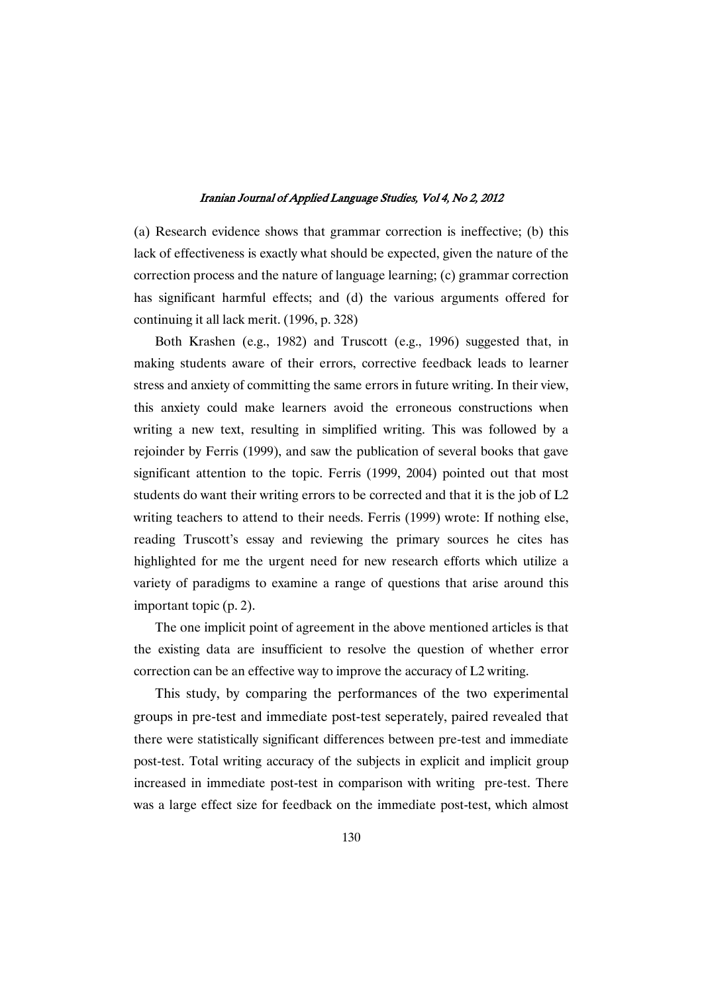(a) Research evidence shows that grammar correction is ineffective; (b) this lack of effectiveness is exactly what should be expected, given the nature of the correction process and the nature of language learning; (c) grammar correction has significant harmful effects; and (d) the various arguments offered for continuing it all lack merit. (1996, p. 328)

Both Krashen (e.g., 1982) and Truscott (e.g., 1996) suggested that, in making students aware of their errors, corrective feedback leads to learner stress and anxiety of committing the same errors in future writing. In their view, this anxiety could make learners avoid the erroneous constructions when writing a new text, resulting in simplified writing. This was followed by a rejoinder by Ferris (1999), and saw the publication of several books that gave significant attention to the topic. Ferris (1999, 2004) pointed out that most students do want their writing errors to be corrected and that it is the job of L2 writing teachers to attend to their needs. Ferris (1999) wrote: If nothing else, reading Truscott's essay and reviewing the primary sources he cites has highlighted for me the urgent need for new research efforts which utilize a variety of paradigms to examine a range of questions that arise around this important topic (p. 2).

The one implicit point of agreement in the above mentioned articles is that the existing data are insufficient to resolve the question of whether error correction can be an effective way to improve the accuracy of L2 writing.

This study, by comparing the performances of the two experimental groups in pre-test and immediate post-test seperately, paired revealed that there were statistically significant differences between pre-test and immediate post-test. Total writing accuracy of the subjects in explicit and implicit group increased in immediate post-test in comparison with writing pre-test. There was a large effect size for feedback on the immediate post-test, which almost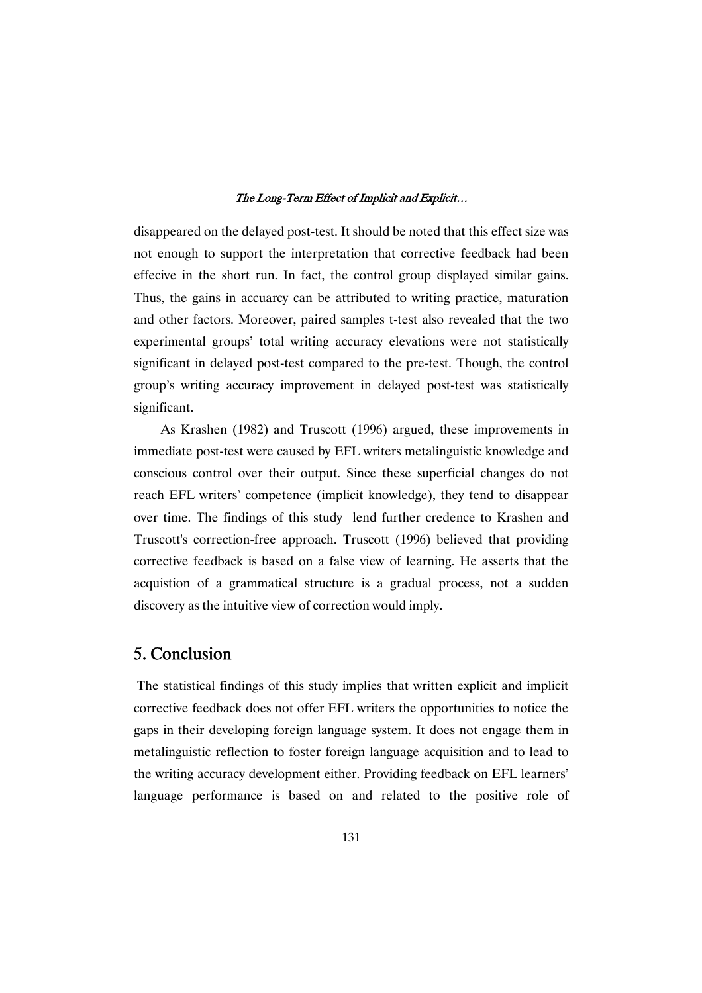disappeared on the delayed post-test. It should be noted that this effect size was not enough to support the interpretation that corrective feedback had been effecive in the short run. In fact, the control group displayed similar gains. Thus, the gains in accuarcy can be attributed to writing practice, maturation and other factors. Moreover, paired samples t-test also revealed that the two experimental groups' total writing accuracy elevations were not statistically significant in delayed post-test compared to the pre-test. Though, the control group's writing accuracy improvement in delayed post-test was statistically significant.

As Krashen (1982) and Truscott (1996) argued, these improvements in immediate post-test were caused by EFL writers metalinguistic knowledge and conscious control over their output. Since these superficial changes do not reach EFL writers' competence (implicit knowledge), they tend to disappear over time. The findings of this study lend further credence to Krashen and Truscott's correction-free approach. Truscott (1996) believed that providing corrective feedback is based on a false view of learning. He asserts that the acquistion of a grammatical structure is a gradual process, not a sudden discovery as the intuitive view of correction would imply.

# 5.Conclusion

The statistical findings of this study implies that written explicit and implicit corrective feedback does not offer EFL writers the opportunities to notice the gaps in their developing foreign language system. It does not engage them in metalinguistic reflection to foster foreign language acquisition and to lead to the writing accuracy development either. Providing feedback on EFL learners' language performance is based on and related to the positive role of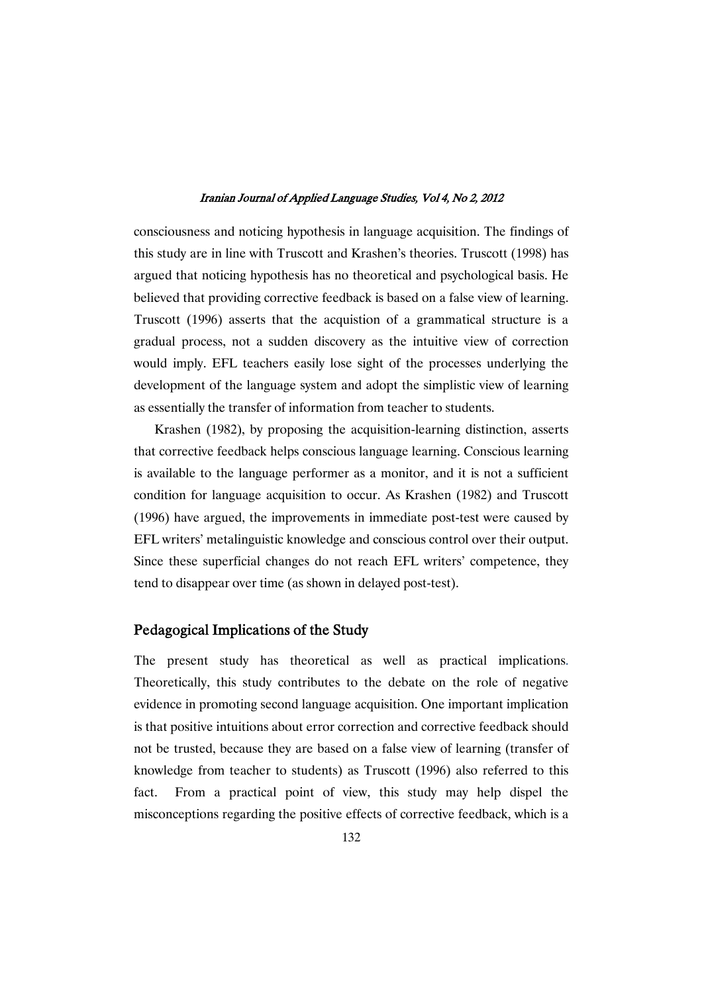consciousness and noticing hypothesis in language acquisition. The findings of this study are in line with Truscott and Krashen's theories. Truscott (1998) has argued that noticing hypothesis has no theoretical and psychological basis. He believed that providing corrective feedback is based on a false view of learning. Truscott (1996) asserts that the acquistion of a grammatical structure is a gradual process, not a sudden discovery as the intuitive view of correction would imply. EFL teachers easily lose sight of the processes underlying the development of the language system and adopt the simplistic view of learning as essentially the transfer of information from teacher to students.

Krashen (1982), by proposing the acquisition-learning distinction, asserts that corrective feedback helps conscious language learning. Conscious learning is available to the language performer as a monitor, and it is not a sufficient condition for language acquisition to occur. As Krashen (1982) and Truscott (1996) have argued, the improvements in immediate post-test were caused by EFL writers' metalinguistic knowledge and conscious control over their output. Since these superficial changes do not reach EFL writers' competence, they tend to disappear over time (as shown in delayed post-test).

### Pedagogical Implications of the Study

The present study has theoretical as well as practical implications. Theoretically, this study contributes to the debate on the role of negative evidence in promoting second language acquisition. One important implication is that positive intuitions about error correction and corrective feedback should not be trusted, because they are based on a false view of learning (transfer of knowledge from teacher to students) as Truscott (1996) also referred to this fact. From a practical point of view, this study may help dispel the misconceptions regarding the positive effects of corrective feedback, which is a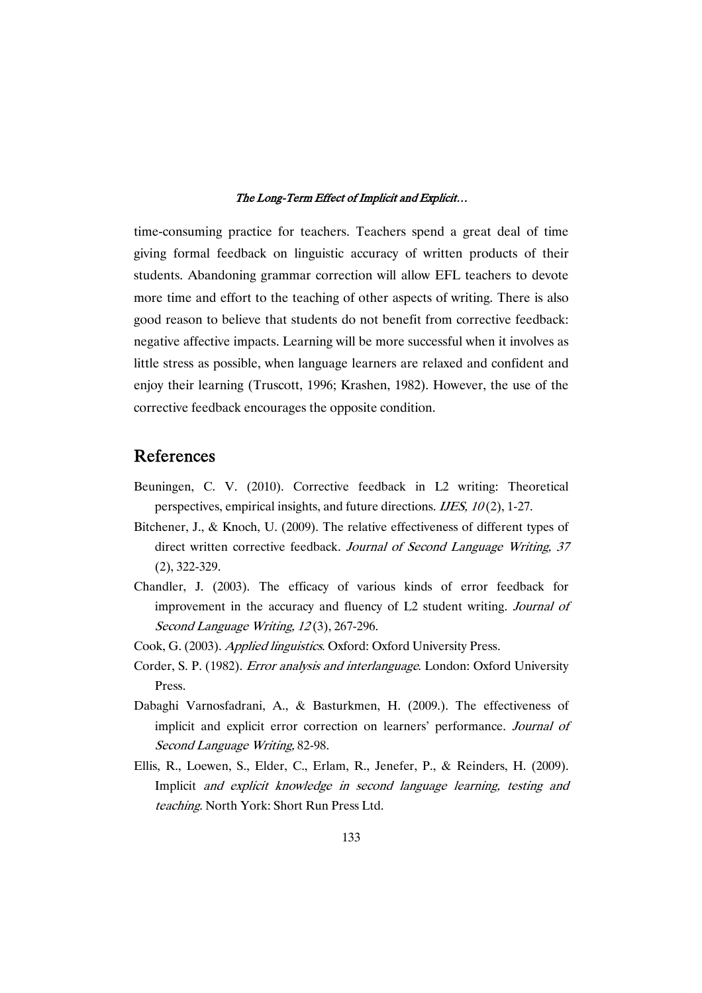time-consuming practice for teachers. Teachers spend a great deal of time giving formal feedback on linguistic accuracy of written products of their students. Abandoning grammar correction will allow EFL teachers to devote more time and effort to the teaching of other aspects of writing. There is also good reason to believe that students do not benefit from corrective feedback: negative affective impacts. Learning will be more successful when it involves as little stress as possible, when language learners are relaxed and confident and enjoy their learning (Truscott, 1996; Krashen, 1982). However, the use of the corrective feedback encourages the opposite condition.

# References

- Beuningen, C. V. (2010). Corrective feedback in L2 writing: Theoretical perspectives, empirical insights, and future directions. IJES, <sup>10</sup> (2), 1-27.
- Bitchener, J., & Knoch, U. (2009). The relative effectiveness of different types of direct written corrective feedback. Journal of Second Language Writing, 37 (2), 322-329.
- Chandler, J. (2003). The efficacy of various kinds of error feedback for improvement in the accuracy and fluency of L2 student writing. Journal of Second Language Writing, 12(3), 267-296.
- Cook, G. (2003). Applied linguistics. Oxford: Oxford University Press.
- Corder, S. P. (1982). Error analysis and interlanguage. London: Oxford University Press.
- Dabaghi Varnosfadrani, A., & Basturkmen, H. (2009.). The effectiveness of implicit and explicit error correction on learners' performance. Journal of Second Language Writing, 82-98.
- Ellis, R., Loewen, S., Elder, C., Erlam, R., Jenefer, P., & Reinders, H. (2009). Implicit and explicit knowledge in second language learning, testing and teaching. North York: Short Run Press Ltd.